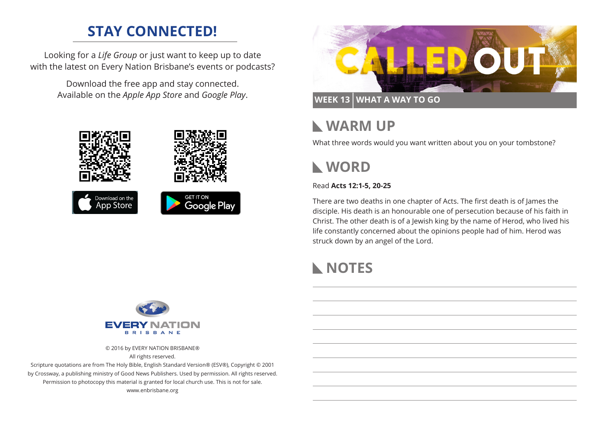## **STAY CONNECTED!**

Looking for a *Life Group* or just want to keep up to date with the latest on Every Nation Brisbane's events or podcasts?

> Download the free app and stay connected. Available on the *Apple App Store* and *Google Play*.





**WEEK 13 WHAT A WAY TO GO**

## **WARM UP**

What three words would you want written about you on your tombstone?

## **WORD**

#### Read **Acts 12:1-5, 20-25**

There are two deaths in one chapter of Acts. The first death is of James the disciple. His death is an honourable one of persecution because of his faith in Christ. The other death is of a Jewish king by the name of Herod, who lived his life constantly concerned about the opinions people had of him. Herod was struck down by an angel of the Lord.

# **NOTES**



© 2016 by EVERY NATION BRISBANE®

All rights reserved. Scripture quotations are from The Holy Bible, English Standard Version® (ESV®), Copyright © 2001

by Crossway, a publishing ministry of Good News Publishers. Used by permission. All rights reserved. Permission to photocopy this material is granted for local church use. This is not for sale. www.enbrisbane.org